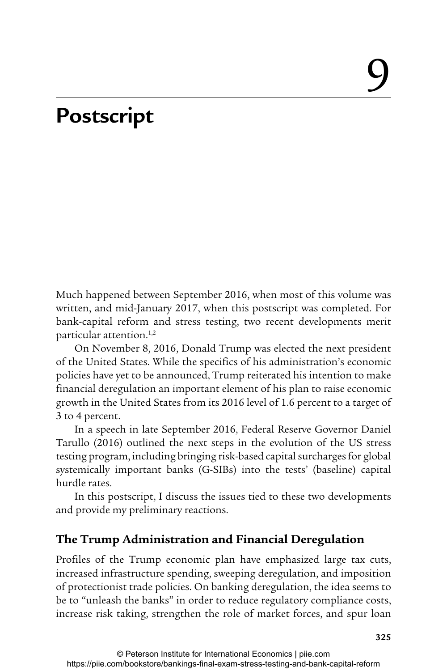# **Postscript**

Much happened between September 2016, when most of this volume was written, and mid-January 2017, when this postscript was completed. For bank-capital reform and stress testing, two recent developments merit particular attention.<sup>1,2</sup>

On November 8, 2016, Donald Trump was elected the next president of the United States. While the specifics of his administration's economic policies have yet to be announced, Trump reiterated his intention to make financial deregulation an important element of his plan to raise economic growth in the United States from its 2016 level of 1.6 percent to a target of 3 to 4 percent.

In a speech in late September 2016, Federal Reserve Governor Daniel Tarullo (2016) outlined the next steps in the evolution of the US stress testing program, including bringing risk-based capital surcharges for global systemically important banks (G-SIBs) into the tests' (baseline) capital hurdle rates.

In this postscript, I discuss the issues tied to these two developments and provide my preliminary reactions.

## **The Trump Administration and Financial Deregulation**

Profiles of the Trump economic plan have emphasized large tax cuts, increased infrastructure spending, sweeping deregulation, and imposition of protectionist trade policies. On banking deregulation, the idea seems to be to "unleash the banks" in order to reduce regulatory compliance costs, increase risk taking, strengthen the role of market forces, and spur loan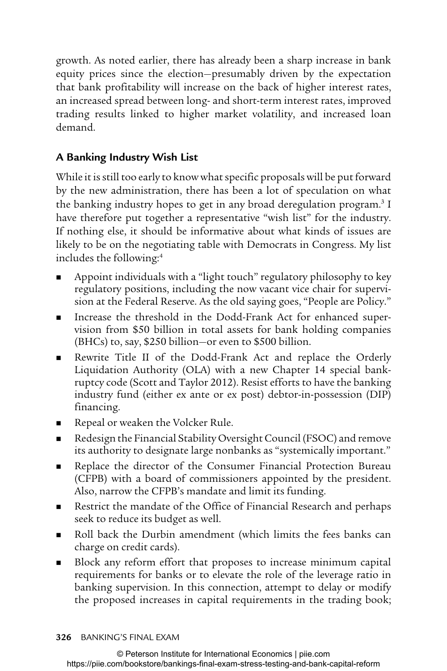growth. As noted earlier, there has already been a sharp increase in bank equity prices since the election—presumably driven by the expectation that bank profitability will increase on the back of higher interest rates, an increased spread between long- and short-term interest rates, improved trading results linked to higher market volatility, and increased loan demand.

# **A Banking Industry Wish List**

While it is still too early to know what specific proposals will be put forward by the new administration, there has been a lot of speculation on what the banking industry hopes to get in any broad deregulation program.<sup>3</sup> I have therefore put together a representative "wish list" for the industry. If nothing else, it should be informative about what kinds of issues are likely to be on the negotiating table with Democrats in Congress. My list includes the following:4

- <sup>n</sup> Appoint individuals with a "light touch" regulatory philosophy to key regulatory positions, including the now vacant vice chair for supervision at the Federal Reserve. As the old saying goes, "People are Policy."
- <sup>n</sup> Increase the threshold in the Dodd-Frank Act for enhanced supervision from \$50 billion in total assets for bank holding companies (BHCs) to, say, \$250 billion—or even to \$500 billion.
- **n** Rewrite Title II of the Dodd-Frank Act and replace the Orderly Liquidation Authority (OLA) with a new Chapter 14 special bankruptcy code (Scott and Taylor 2012). Resist efforts to have the banking industry fund (either ex ante or ex post) debtor-in-possession (DIP) financing.
- <sup>n</sup> Repeal or weaken the Volcker Rule.
- <sup>n</sup> Redesign the Financial Stability Oversight Council (FSOC) and remove its authority to designate large nonbanks as "systemically important."
- <sup>n</sup> Replace the director of the Consumer Financial Protection Bureau (CFPB) with a board of commissioners appointed by the president. Also, narrow the CFPB's mandate and limit its funding.
- Restrict the mandate of the Office of Financial Research and perhaps seek to reduce its budget as well.
- Roll back the Durbin amendment (which limits the fees banks can charge on credit cards).
- Block any reform effort that proposes to increase minimum capital requirements for banks or to elevate the role of the leverage ratio in banking supervision. In this connection, attempt to delay or modify the proposed increases in capital requirements in the trading book;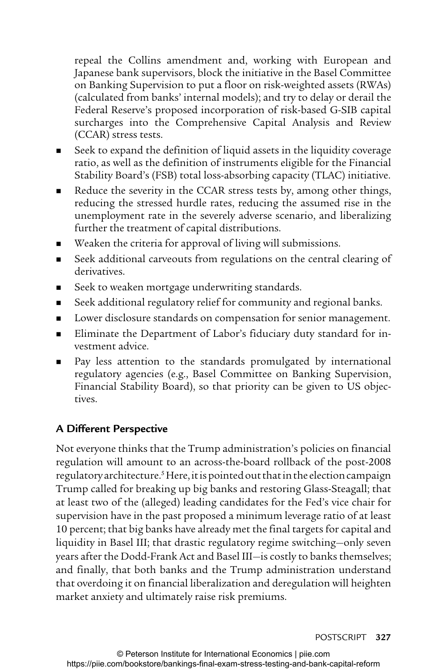repeal the Collins amendment and, working with European and Japanese bank supervisors, block the initiative in the Basel Committee on Banking Supervision to put a floor on risk-weighted assets (RWAs) (calculated from banks' internal models); and try to delay or derail the Federal Reserve's proposed incorporation of risk-based G-SIB capital surcharges into the Comprehensive Capital Analysis and Review (CCAR) stress tests.

- <sup>n</sup> Seek to expand the definition of liquid assets in the liquidity coverage ratio, as well as the definition of instruments eligible for the Financial Stability Board's (FSB) total loss-absorbing capacity (TLAC) initiative.
- Reduce the severity in the CCAR stress tests by, among other things, reducing the stressed hurdle rates, reducing the assumed rise in the unemployment rate in the severely adverse scenario, and liberalizing further the treatment of capital distributions.
- Weaken the criteria for approval of living will submissions.
- Seek additional carveouts from regulations on the central clearing of derivatives.
- Seek to weaken mortgage underwriting standards.
- <sup>n</sup> Seek additional regulatory relief for community and regional banks.
- **n** Lower disclosure standards on compensation for senior management.
- Eliminate the Department of Labor's fiduciary duty standard for investment advice.
- Pay less attention to the standards promulgated by international regulatory agencies (e.g., Basel Committee on Banking Supervision, Financial Stability Board), so that priority can be given to US objectives.

## **A Different Perspective**

Not everyone thinks that the Trump administration's policies on financial regulation will amount to an across-the-board rollback of the post-2008 regulatory architecture.<sup>5</sup> Here, it is pointed out that in the election campaign Trump called for breaking up big banks and restoring Glass-Steagall; that at least two of the (alleged) leading candidates for the Fed's vice chair for supervision have in the past proposed a minimum leverage ratio of at least 10 percent; that big banks have already met the final targets for capital and liquidity in Basel III; that drastic regulatory regime switching—only seven years after the Dodd-Frank Act and Basel III—is costly to banks themselves; and finally, that both banks and the Trump administration understand that overdoing it on financial liberalization and deregulation will heighten market anxiety and ultimately raise risk premiums.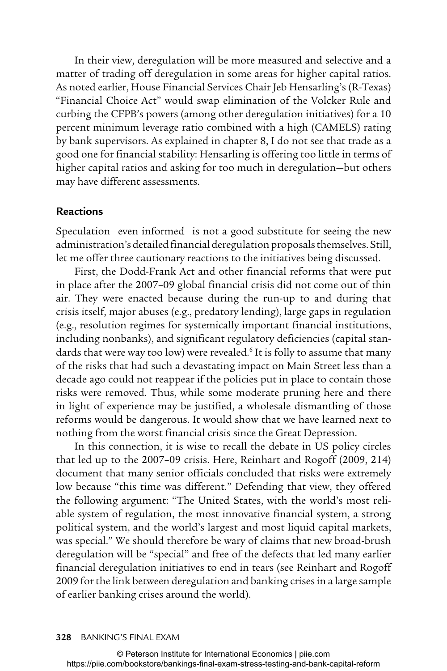In their view, deregulation will be more measured and selective and a matter of trading off deregulation in some areas for higher capital ratios. As noted earlier, House Financial Services Chair Jeb Hensarling's (R-Texas) "Financial Choice Act" would swap elimination of the Volcker Rule and curbing the CFPB's powers (among other deregulation initiatives) for a 10 percent minimum leverage ratio combined with a high (CAMELS) rating by bank supervisors. As explained in chapter 8, I do not see that trade as a good one for financial stability: Hensarling is offering too little in terms of higher capital ratios and asking for too much in deregulation—but others may have different assessments.

### **Reactions**

Speculation—even informed—is not a good substitute for seeing the new administration's detailed financial deregulation proposals themselves. Still, let me offer three cautionary reactions to the initiatives being discussed.

First, the Dodd-Frank Act and other financial reforms that were put in place after the 2007–09 global financial crisis did not come out of thin air. They were enacted because during the run-up to and during that crisis itself, major abuses (e.g., predatory lending), large gaps in regulation (e.g., resolution regimes for systemically important financial institutions, including nonbanks), and significant regulatory deficiencies (capital standards that were way too low) were revealed.<sup>6</sup> It is folly to assume that many of the risks that had such a devastating impact on Main Street less than a decade ago could not reappear if the policies put in place to contain those risks were removed. Thus, while some moderate pruning here and there in light of experience may be justified, a wholesale dismantling of those reforms would be dangerous. It would show that we have learned next to nothing from the worst financial crisis since the Great Depression.

In this connection, it is wise to recall the debate in US policy circles that led up to the 2007–09 crisis. Here, Reinhart and Rogoff (2009, 214) document that many senior officials concluded that risks were extremely low because "this time was different." Defending that view, they offered the following argument: "The United States, with the world's most reliable system of regulation, the most innovative financial system, a strong political system, and the world's largest and most liquid capital markets, was special." We should therefore be wary of claims that new broad-brush deregulation will be "special" and free of the defects that led many earlier financial deregulation initiatives to end in tears (see Reinhart and Rogoff 2009 for the link between deregulation and banking crises in a large sample of earlier banking crises around the world).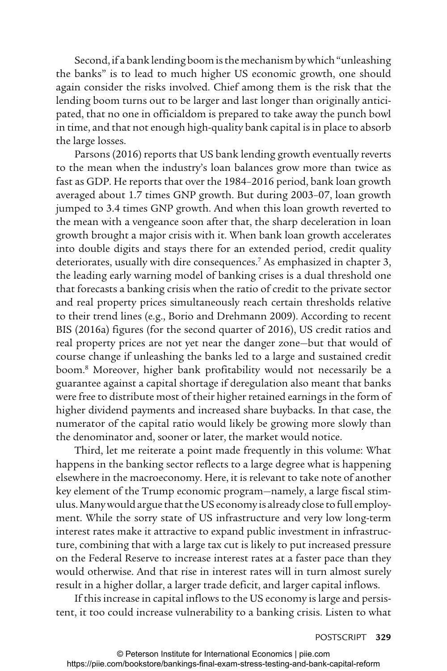Second, if a bank lending boom is the mechanism by which "unleashing the banks" is to lead to much higher US economic growth, one should again consider the risks involved. Chief among them is the risk that the lending boom turns out to be larger and last longer than originally anticipated, that no one in officialdom is prepared to take away the punch bowl in time, and that not enough high-quality bank capital is in place to absorb the large losses.

Parsons (2016) reports that US bank lending growth eventually reverts to the mean when the industry's loan balances grow more than twice as fast as GDP. He reports that over the 1984–2016 period, bank loan growth averaged about 1.7 times GNP growth. But during 2003–07, loan growth jumped to 3.4 times GNP growth. And when this loan growth reverted to the mean with a vengeance soon after that, the sharp deceleration in loan growth brought a major crisis with it. When bank loan growth accelerates into double digits and stays there for an extended period, credit quality deteriorates, usually with dire consequences.7 As emphasized in chapter 3, the leading early warning model of banking crises is a dual threshold one that forecasts a banking crisis when the ratio of credit to the private sector and real property prices simultaneously reach certain thresholds relative to their trend lines (e.g., Borio and Drehmann 2009). According to recent BIS (2016a) figures (for the second quarter of 2016), US credit ratios and real property prices are not yet near the danger zone—but that would of course change if unleashing the banks led to a large and sustained credit boom.8 Moreover, higher bank profitability would not necessarily be a guarantee against a capital shortage if deregulation also meant that banks were free to distribute most of their higher retained earnings in the form of higher dividend payments and increased share buybacks. In that case, the numerator of the capital ratio would likely be growing more slowly than the denominator and, sooner or later, the market would notice.

Third, let me reiterate a point made frequently in this volume: What happens in the banking sector reflects to a large degree what is happening elsewhere in the macroeconomy. Here, it is relevant to take note of another key element of the Trump economic program—namely, a large fiscal stimulus. Many would argue that the US economy is already close to full employment. While the sorry state of US infrastructure and very low long-term interest rates make it attractive to expand public investment in infrastructure, combining that with a large tax cut is likely to put increased pressure on the Federal Reserve to increase interest rates at a faster pace than they would otherwise. And that rise in interest rates will in turn almost surely result in a higher dollar, a larger trade deficit, and larger capital inflows.

If this increase in capital inflows to the US economy is large and persistent, it too could increase vulnerability to a banking crisis. Listen to what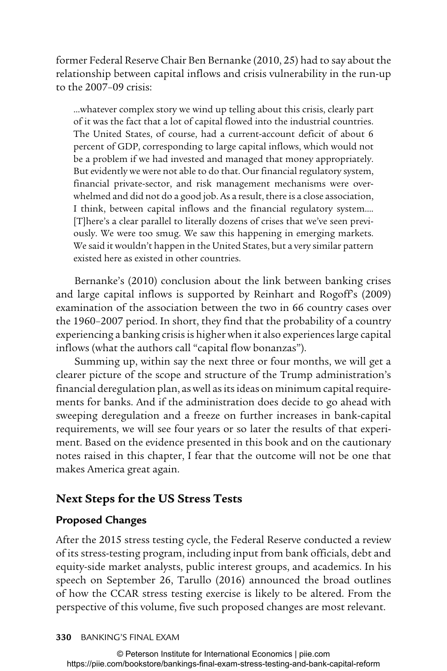former Federal Reserve Chair Ben Bernanke (2010, 25) had to say about the relationship between capital inflows and crisis vulnerability in the run-up to the 2007–09 crisis:

…whatever complex story we wind up telling about this crisis, clearly part of it was the fact that a lot of capital flowed into the industrial countries. The United States, of course, had a current-account deficit of about 6 percent of GDP, corresponding to large capital inflows, which would not be a problem if we had invested and managed that money appropriately. But evidently we were not able to do that. Our financial regulatory system, financial private-sector, and risk management mechanisms were overwhelmed and did not do a good job. As a result, there is a close association, I think, between capital inflows and the financial regulatory system…. [T]here's a clear parallel to literally dozens of crises that we've seen previously. We were too smug. We saw this happening in emerging markets. We said it wouldn't happen in the United States, but a very similar pattern existed here as existed in other countries.

Bernanke's (2010) conclusion about the link between banking crises and large capital inflows is supported by Reinhart and Rogoff's (2009) examination of the association between the two in 66 country cases over the 1960–2007 period. In short, they find that the probability of a country experiencing a banking crisis is higher when it also experiences large capital inflows (what the authors call "capital flow bonanzas").

Summing up, within say the next three or four months, we will get a clearer picture of the scope and structure of the Trump administration's financial deregulation plan, as well as its ideas on minimum capital requirements for banks. And if the administration does decide to go ahead with sweeping deregulation and a freeze on further increases in bank-capital requirements, we will see four years or so later the results of that experiment. Based on the evidence presented in this book and on the cautionary notes raised in this chapter, I fear that the outcome will not be one that makes America great again.

## **Next Steps for the US Stress Tests**

## **Proposed Changes**

After the 2015 stress testing cycle, the Federal Reserve conducted a review of its stress-testing program, including input from bank officials, debt and equity-side market analysts, public interest groups, and academics. In his speech on September 26, Tarullo (2016) announced the broad outlines of how the CCAR stress testing exercise is likely to be altered. From the perspective of this volume, five such proposed changes are most relevant.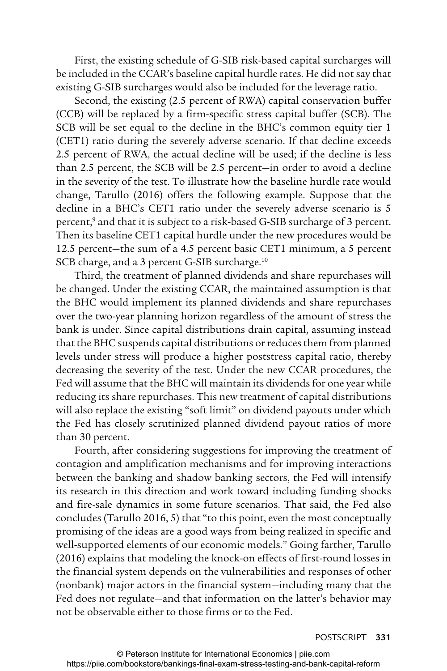First, the existing schedule of G-SIB risk-based capital surcharges will be included in the CCAR's baseline capital hurdle rates. He did not say that existing G-SIB surcharges would also be included for the leverage ratio.

Second, the existing (2.5 percent of RWA) capital conservation buffer (CCB) will be replaced by a firm-specific stress capital buffer (SCB). The SCB will be set equal to the decline in the BHC's common equity tier 1 (CET1) ratio during the severely adverse scenario. If that decline exceeds 2.5 percent of RWA, the actual decline will be used; if the decline is less than 2.5 percent, the SCB will be 2.5 percent—in order to avoid a decline in the severity of the test. To illustrate how the baseline hurdle rate would change, Tarullo (2016) offers the following example. Suppose that the decline in a BHC's CET1 ratio under the severely adverse scenario is 5 percent,<sup>9</sup> and that it is subject to a risk-based G-SIB surcharge of 3 percent. Then its baseline CET1 capital hurdle under the new procedures would be 12.5 percent—the sum of a 4.5 percent basic CET1 minimum, a 5 percent SCB charge, and a 3 percent G-SIB surcharge.<sup>10</sup>

Third, the treatment of planned dividends and share repurchases will be changed. Under the existing CCAR, the maintained assumption is that the BHC would implement its planned dividends and share repurchases over the two-year planning horizon regardless of the amount of stress the bank is under. Since capital distributions drain capital, assuming instead that the BHC suspends capital distributions or reduces them from planned levels under stress will produce a higher poststress capital ratio, thereby decreasing the severity of the test. Under the new CCAR procedures, the Fed will assume that the BHC will maintain its dividends for one year while reducing its share repurchases. This new treatment of capital distributions will also replace the existing "soft limit" on dividend payouts under which the Fed has closely scrutinized planned dividend payout ratios of more than 30 percent.

Fourth, after considering suggestions for improving the treatment of contagion and amplification mechanisms and for improving interactions between the banking and shadow banking sectors, the Fed will intensify its research in this direction and work toward including funding shocks and fire-sale dynamics in some future scenarios. That said, the Fed also concludes (Tarullo 2016, 5) that "to this point, even the most conceptually promising of the ideas are a good ways from being realized in specific and well-supported elements of our economic models." Going farther, Tarullo (2016) explains that modeling the knock-on effects of first-round losses in the financial system depends on the vulnerabilities and responses of other (nonbank) major actors in the financial system—including many that the Fed does not regulate—and that information on the latter's behavior may not be observable either to those firms or to the Fed.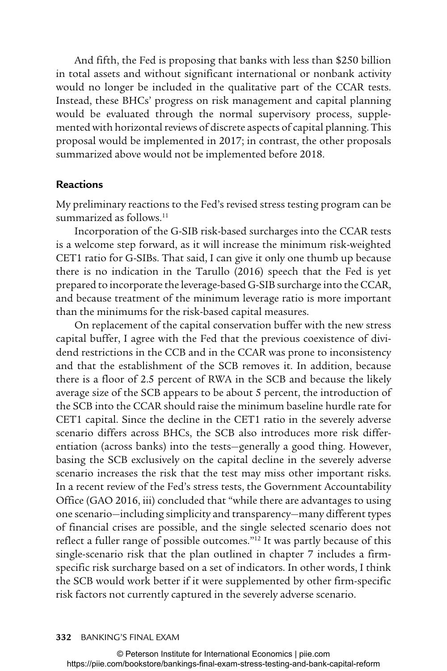And fifth, the Fed is proposing that banks with less than \$250 billion in total assets and without significant international or nonbank activity would no longer be included in the qualitative part of the CCAR tests. Instead, these BHCs' progress on risk management and capital planning would be evaluated through the normal supervisory process, supplemented with horizontal reviews of discrete aspects of capital planning. This proposal would be implemented in 2017; in contrast, the other proposals summarized above would not be implemented before 2018.

### **Reactions**

My preliminary reactions to the Fed's revised stress testing program can be summarized as follows.<sup>11</sup>

Incorporation of the G-SIB risk-based surcharges into the CCAR tests is a welcome step forward, as it will increase the minimum risk-weighted CET1 ratio for G-SIBs. That said, I can give it only one thumb up because there is no indication in the Tarullo (2016) speech that the Fed is yet prepared to incorporate the leverage-based G-SIB surcharge into the CCAR, and because treatment of the minimum leverage ratio is more important than the minimums for the risk-based capital measures.

On replacement of the capital conservation buffer with the new stress capital buffer, I agree with the Fed that the previous coexistence of dividend restrictions in the CCB and in the CCAR was prone to inconsistency and that the establishment of the SCB removes it. In addition, because there is a floor of 2.5 percent of RWA in the SCB and because the likely average size of the SCB appears to be about 5 percent, the introduction of the SCB into the CCAR should raise the minimum baseline hurdle rate for CET1 capital. Since the decline in the CET1 ratio in the severely adverse scenario differs across BHCs, the SCB also introduces more risk differentiation (across banks) into the tests—generally a good thing. However, basing the SCB exclusively on the capital decline in the severely adverse scenario increases the risk that the test may miss other important risks. In a recent review of the Fed's stress tests, the Government Accountability Office (GAO 2016, iii) concluded that "while there are advantages to using one scenario—including simplicity and transparency—many different types of financial crises are possible, and the single selected scenario does not reflect a fuller range of possible outcomes."<sup>12</sup> It was partly because of this single-scenario risk that the plan outlined in chapter 7 includes a firmspecific risk surcharge based on a set of indicators. In other words, I think the SCB would work better if it were supplemented by other firm-specific risk factors not currently captured in the severely adverse scenario.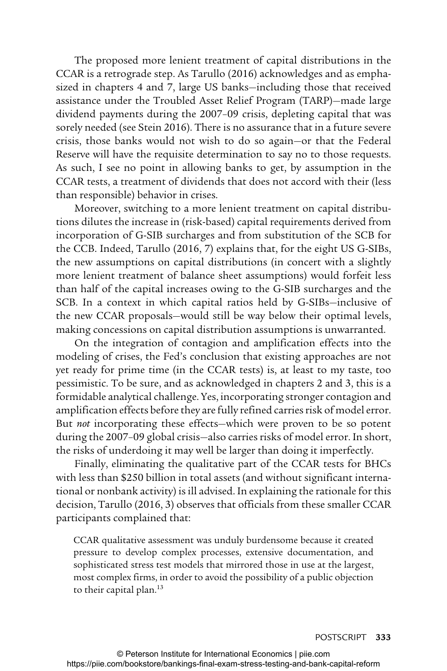The proposed more lenient treatment of capital distributions in the CCAR is a retrograde step. As Tarullo (2016) acknowledges and as emphasized in chapters 4 and 7, large US banks—including those that received assistance under the Troubled Asset Relief Program (TARP)—made large dividend payments during the 2007–09 crisis, depleting capital that was sorely needed (see Stein 2016). There is no assurance that in a future severe crisis, those banks would not wish to do so again—or that the Federal Reserve will have the requisite determination to say no to those requests. As such, I see no point in allowing banks to get, by assumption in the CCAR tests, a treatment of dividends that does not accord with their (less than responsible) behavior in crises.

Moreover, switching to a more lenient treatment on capital distributions dilutes the increase in (risk-based) capital requirements derived from incorporation of G-SIB surcharges and from substitution of the SCB for the CCB. Indeed, Tarullo (2016, 7) explains that, for the eight US G-SIBs, the new assumptions on capital distributions (in concert with a slightly more lenient treatment of balance sheet assumptions) would forfeit less than half of the capital increases owing to the G-SIB surcharges and the SCB. In a context in which capital ratios held by G-SIBs—inclusive of the new CCAR proposals—would still be way below their optimal levels, making concessions on capital distribution assumptions is unwarranted.

On the integration of contagion and amplification effects into the modeling of crises, the Fed's conclusion that existing approaches are not yet ready for prime time (in the CCAR tests) is, at least to my taste, too pessimistic. To be sure, and as acknowledged in chapters 2 and 3, this is a formidable analytical challenge. Yes, incorporating stronger contagion and amplification effects before they are fully refined carries risk of model error. But *not* incorporating these effects—which were proven to be so potent during the 2007–09 global crisis—also carries risks of model error. In short, the risks of underdoing it may well be larger than doing it imperfectly.

Finally, eliminating the qualitative part of the CCAR tests for BHCs with less than \$250 billion in total assets (and without significant international or nonbank activity) is ill advised. In explaining the rationale for this decision, Tarullo (2016, 3) observes that officials from these smaller CCAR participants complained that:

CCAR qualitative assessment was unduly burdensome because it created pressure to develop complex processes, extensive documentation, and sophisticated stress test models that mirrored those in use at the largest, most complex firms, in order to avoid the possibility of a public objection to their capital plan.<sup>13</sup>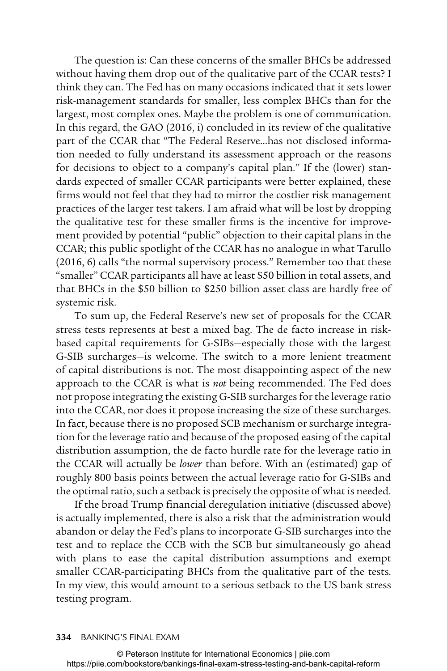The question is: Can these concerns of the smaller BHCs be addressed without having them drop out of the qualitative part of the CCAR tests? I think they can. The Fed has on many occasions indicated that it sets lower risk-management standards for smaller, less complex BHCs than for the largest, most complex ones. Maybe the problem is one of communication. In this regard, the GAO (2016, i) concluded in its review of the qualitative part of the CCAR that "The Federal Reserve…has not disclosed information needed to fully understand its assessment approach or the reasons for decisions to object to a company's capital plan." If the (lower) standards expected of smaller CCAR participants were better explained, these firms would not feel that they had to mirror the costlier risk management practices of the larger test takers. I am afraid what will be lost by dropping the qualitative test for these smaller firms is the incentive for improvement provided by potential "public" objection to their capital plans in the CCAR; this public spotlight of the CCAR has no analogue in what Tarullo (2016, 6) calls "the normal supervisory process." Remember too that these "smaller" CCAR participants all have at least \$50 billion in total assets, and that BHCs in the \$50 billion to \$250 billion asset class are hardly free of systemic risk.

To sum up, the Federal Reserve's new set of proposals for the CCAR stress tests represents at best a mixed bag. The de facto increase in riskbased capital requirements for G-SIBs—especially those with the largest G-SIB surcharges—is welcome. The switch to a more lenient treatment of capital distributions is not. The most disappointing aspect of the new approach to the CCAR is what is *not* being recommended. The Fed does not propose integrating the existing G-SIB surcharges for the leverage ratio into the CCAR, nor does it propose increasing the size of these surcharges. In fact, because there is no proposed SCB mechanism or surcharge integration for the leverage ratio and because of the proposed easing of the capital distribution assumption, the de facto hurdle rate for the leverage ratio in the CCAR will actually be *lower* than before. With an (estimated) gap of roughly 800 basis points between the actual leverage ratio for G-SIBs and the optimal ratio, such a setback is precisely the opposite of what is needed.

If the broad Trump financial deregulation initiative (discussed above) is actually implemented, there is also a risk that the administration would abandon or delay the Fed's plans to incorporate G-SIB surcharges into the test and to replace the CCB with the SCB but simultaneously go ahead with plans to ease the capital distribution assumptions and exempt smaller CCAR-participating BHCs from the qualitative part of the tests. In my view, this would amount to a serious setback to the US bank stress testing program.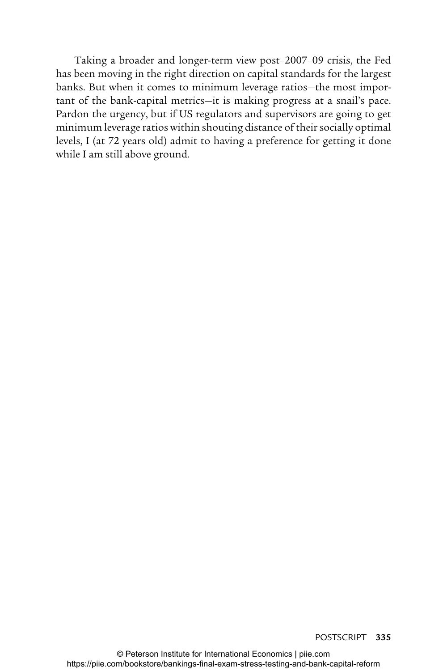Taking a broader and longer-term view post–2007–09 crisis, the Fed has been moving in the right direction on capital standards for the largest banks. But when it comes to minimum leverage ratios—the most important of the bank-capital metrics—it is making progress at a snail's pace. Pardon the urgency, but if US regulators and supervisors are going to get minimum leverage ratios within shouting distance of their socially optimal levels, I (at 72 years old) admit to having a preference for getting it done while I am still above ground.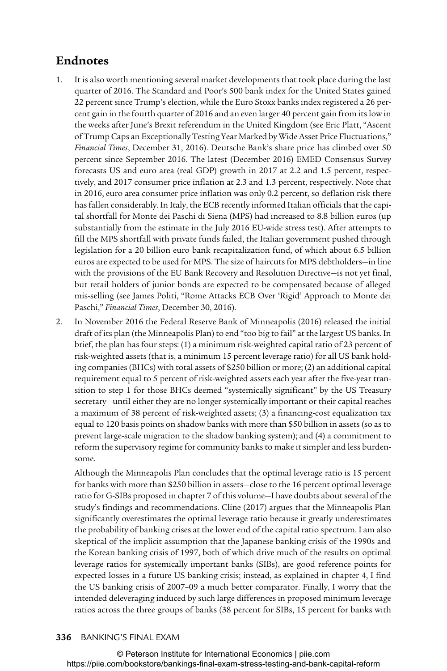# **Endnotes**

- 1. It is also worth mentioning several market developments that took place during the last quarter of 2016. The Standard and Poor's 500 bank index for the United States gained 22 percent since Trump's election, while the Euro Stoxx banks index registered a 26 percent gain in the fourth quarter of 2016 and an even larger 40 percent gain from its low in the weeks after June's Brexit referendum in the United Kingdom (see Eric Platt, "Ascent of Trump Caps an Exceptionally Testing Year Marked by Wide Asset Price Fluctuations," *Financial Times*, December 31, 2016). Deutsche Bank's share price has climbed over 50 percent since September 2016. The latest (December 2016) EMED Consensus Survey forecasts US and euro area (real GDP) growth in 2017 at 2.2 and 1.5 percent, respectively, and 2017 consumer price inflation at 2.3 and 1.3 percent, respectively. Note that in 2016, euro area consumer price inflation was only 0.2 percent, so deflation risk there has fallen considerably. In Italy, the ECB recently informed Italian officials that the capital shortfall for Monte dei Paschi di Siena (MPS) had increased to 8.8 billion euros (up substantially from the estimate in the July 2016 EU-wide stress test). After attempts to fill the MPS shortfall with private funds failed, the Italian government pushed through legislation for a 20 billion euro bank recapitalization fund, of which about 6.5 billion euros are expected to be used for MPS. The size of haircuts for MPS debtholders—in line with the provisions of the EU Bank Recovery and Resolution Directive—is not yet final, but retail holders of junior bonds are expected to be compensated because of alleged mis-selling (see James Politi, "Rome Attacks ECB Over 'Rigid' Approach to Monte dei Paschi," *Financial Times*, December 30, 2016).
- 2. In November 2016 the Federal Reserve Bank of Minneapolis (2016) released the initial draft of its plan (the Minneapolis Plan) to end "too big to fail" at the largest US banks. In brief, the plan has four steps: (1) a minimum risk-weighted capital ratio of 23 percent of risk-weighted assets (that is, a minimum 15 percent leverage ratio) for all US bank holding companies (BHCs) with total assets of \$250 billion or more; (2) an additional capital requirement equal to 5 percent of risk-weighted assets each year after the five-year transition to step 1 for those BHCs deemed "systemically significant" by the US Treasury secretary—until either they are no longer systemically important or their capital reaches a maximum of 38 percent of risk-weighted assets; (3) a financing-cost equalization tax equal to 120 basis points on shadow banks with more than \$50 billion in assets (so as to prevent large-scale migration to the shadow banking system); and (4) a commitment to reform the supervisory regime for community banks to make it simpler and less burdensome.

Although the Minneapolis Plan concludes that the optimal leverage ratio is 15 percent for banks with more than \$250 billion in assets—close to the 16 percent optimal leverage ratio for G-SIBs proposed in chapter 7 of this volume—I have doubts about several of the study's findings and recommendations. Cline (2017) argues that the Minneapolis Plan significantly overestimates the optimal leverage ratio because it greatly underestimates the probability of banking crises at the lower end of the capital ratio spectrum. I am also skeptical of the implicit assumption that the Japanese banking crisis of the 1990s and the Korean banking crisis of 1997, both of which drive much of the results on optimal leverage ratios for systemically important banks (SIBs), are good reference points for expected losses in a future US banking crisis; instead, as explained in chapter 4, I find the US banking crisis of 2007–09 a much better comparator. Finally, I worry that the intended deleveraging induced by such large differences in proposed minimum leverage ratios across the three groups of banks (38 percent for SIBs, 15 percent for banks with

#### **336** BANKING'S FINAL EXAM

© Peterson Institute for International Economics | piie.com https://piie.com/bookstore/bankings-final-exam-stress-testing-and-bank-capital-reform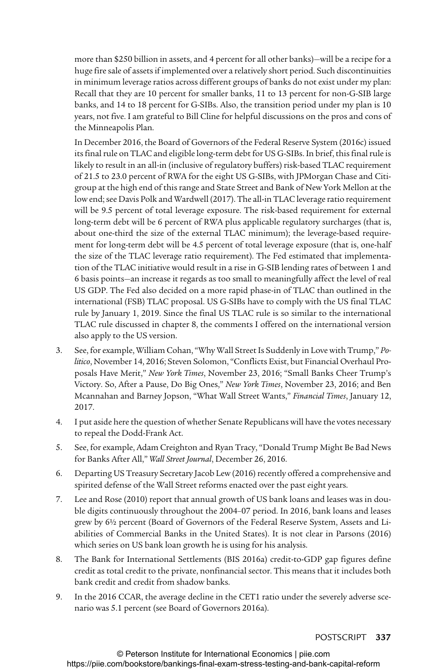more than \$250 billion in assets, and 4 percent for all other banks)—will be a recipe for a huge fire sale of assets if implemented over a relatively short period. Such discontinuities in minimum leverage ratios across different groups of banks do not exist under my plan: Recall that they are 10 percent for smaller banks, 11 to 13 percent for non-G-SIB large banks, and 14 to 18 percent for G-SIBs. Also, the transition period under my plan is 10 years, not five. I am grateful to Bill Cline for helpful discussions on the pros and cons of the Minneapolis Plan.

In December 2016, the Board of Governors of the Federal Reserve System (2016c) issued its final rule on TLAC and eligible long-term debt for US G-SIBs. In brief, this final rule is likely to result in an all-in (inclusive of regulatory buffers) risk-based TLAC requirement of 21.5 to 23.0 percent of RWA for the eight US G-SIBs, with JPMorgan Chase and Citigroup at the high end of this range and State Street and Bank of New York Mellon at the low end; see Davis Polk and Wardwell (2017). The all-in TLAC leverage ratio requirement will be 9.5 percent of total leverage exposure. The risk-based requirement for external long-term debt will be 6 percent of RWA plus applicable regulatory surcharges (that is, about one-third the size of the external TLAC minimum); the leverage-based requirement for long-term debt will be 4.5 percent of total leverage exposure (that is, one-half the size of the TLAC leverage ratio requirement). The Fed estimated that implementation of the TLAC initiative would result in a rise in G-SIB lending rates of between 1 and 6 basis points—an increase it regards as too small to meaningfully affect the level of real US GDP. The Fed also decided on a more rapid phase-in of TLAC than outlined in the international (FSB) TLAC proposal. US G-SIBs have to comply with the US final TLAC rule by January 1, 2019. Since the final US TLAC rule is so similar to the international TLAC rule discussed in chapter 8, the comments I offered on the international version also apply to the US version.

- 3. See, for example, William Cohan, "Why Wall Street Is Suddenly in Love with Trump," *Politico*, November 14, 2016; Steven Solomon, "Conflicts Exist, but Financial Overhaul Proposals Have Merit," *New York Times*, November 23, 2016; "Small Banks Cheer Trump's Victory. So, After a Pause, Do Big Ones," *New York Times*, November 23, 2016; and Ben Mcannahan and Barney Jopson, "What Wall Street Wants," *Financial Times*, January 12, 2017.
- 4. I put aside here the question of whether Senate Republicans will have the votes necessary to repeal the Dodd-Frank Act.
- 5. See, for example, Adam Creighton and Ryan Tracy, "Donald Trump Might Be Bad News for Banks After All," *Wall Street Journal*, December 26, 2016.
- 6. Departing US Treasury Secretary Jacob Lew (2016) recently offered a comprehensive and spirited defense of the Wall Street reforms enacted over the past eight years.
- 7. Lee and Rose (2010) report that annual growth of US bank loans and leases was in double digits continuously throughout the 2004–07 period. In 2016, bank loans and leases grew by 6½ percent (Board of Governors of the Federal Reserve System, Assets and Liabilities of Commercial Banks in the United States). It is not clear in Parsons (2016) which series on US bank loan growth he is using for his analysis.
- 8. The Bank for International Settlements (BIS 2016a) credit-to-GDP gap figures define credit as total credit to the private, nonfinancial sector. This means that it includes both bank credit and credit from shadow banks.
- 9. In the 2016 CCAR, the average decline in the CET1 ratio under the severely adverse scenario was 5.1 percent (see Board of Governors 2016a).